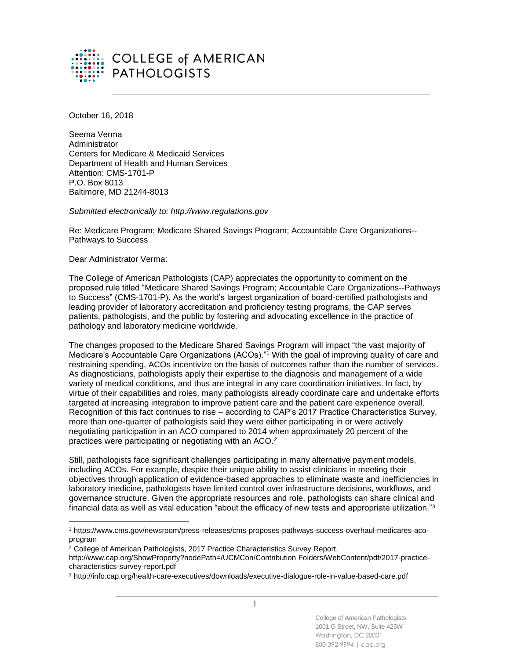

October 16, 2018

Seema Verma Administrator Centers for Medicare & Medicaid Services Department of Health and Human Services Attention: CMS-1701-P P.O. Box 8013 Baltimore, MD 21244-8013

*Submitted electronically to: http://www.regulations.gov*

Re: Medicare Program; Medicare Shared Savings Program; Accountable Care Organizations-- Pathways to Success

Dear Administrator Verma:

 $\overline{a}$ 

The College of American Pathologists (CAP) appreciates the opportunity to comment on the proposed rule titled "Medicare Shared Savings Program; Accountable Care Organizations--Pathways to Success" (CMS-1701-P). As the world's largest organization of board-certified pathologists and leading provider of laboratory accreditation and proficiency testing programs, the CAP serves patients, pathologists, and the public by fostering and advocating excellence in the practice of pathology and laboratory medicine worldwide.

The changes proposed to the Medicare Shared Savings Program will impact "the vast majority of Medicare's Accountable Care Organizations (ACOs)." <sup>1</sup> With the goal of improving quality of care and restraining spending, ACOs incentivize on the basis of outcomes rather than the number of services. As diagnosticians, pathologists apply their expertise to the diagnosis and management of a wide variety of medical conditions, and thus are integral in any care coordination initiatives. In fact, by virtue of their capabilities and roles, many pathologists already coordinate care and undertake efforts targeted at increasing integration to improve patient care and the patient care experience overall. Recognition of this fact continues to rise – according to CAP's 2017 Practice Characteristics Survey, more than one-quarter of pathologists said they were either participating in or were actively negotiating participation in an ACO compared to 2014 when approximately 20 percent of the practices were participating or negotiating with an ACO.<sup>2</sup>

Still, pathologists face significant challenges participating in many alternative payment models, including ACOs. For example, despite their unique ability to assist clinicians in meeting their objectives through application of evidence-based approaches to eliminate waste and inefficiencies in laboratory medicine, pathologists have limited control over infrastructure decisions, workflows, and governance structure. Given the appropriate resources and role, pathologists can share clinical and financial data as well as vital education "about the efficacy of new tests and appropriate utilization."<sup>3</sup>

<sup>1</sup> https://www.cms.gov/newsroom/press-releases/cms-proposes-pathways-success-overhaul-medicares-acoprogram

<sup>&</sup>lt;sup>2</sup> College of American Pathologists, 2017 Practice Characteristics Survey Report,

http://www.cap.org/ShowProperty?nodePath=/UCMCon/Contribution Folders/WebContent/pdf/2017-practicecharacteristics-survey-report.pdf

<sup>3</sup> http://info.cap.org/health-care-executives/downloads/executive-dialogue-role-in-value-based-care.pdf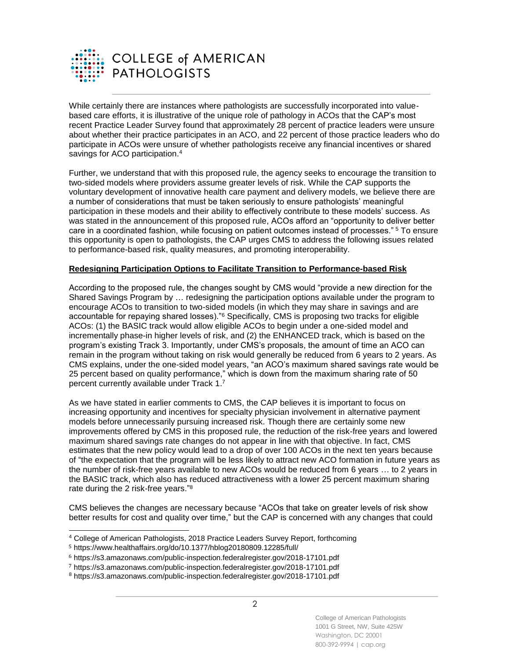

While certainly there are instances where pathologists are successfully incorporated into valuebased care efforts, it is illustrative of the unique role of pathology in ACOs that the CAP's most recent Practice Leader Survey found that approximately 28 percent of practice leaders were unsure about whether their practice participates in an ACO, and 22 percent of those practice leaders who do participate in ACOs were unsure of whether pathologists receive any financial incentives or shared savings for ACO participation.<sup>4</sup>

Further, we understand that with this proposed rule, the agency seeks to encourage the transition to two-sided models where providers assume greater levels of risk. While the CAP supports the voluntary development of innovative health care payment and delivery models, we believe there are a number of considerations that must be taken seriously to ensure pathologists' meaningful participation in these models and their ability to effectively contribute to these models' success. As was stated in the announcement of this proposed rule, ACOs afford an "opportunity to deliver better care in a coordinated fashion, while focusing on patient outcomes instead of processes." <sup>5</sup> To ensure this opportunity is open to pathologists, the CAP urges CMS to address the following issues related to performance-based risk, quality measures, and promoting interoperability.

## **Redesigning Participation Options to Facilitate Transition to Performance-based Risk**

According to the proposed rule, the changes sought by CMS would "provide a new direction for the Shared Savings Program by … redesigning the participation options available under the program to encourage ACOs to transition to two-sided models (in which they may share in savings and are accountable for repaying shared losses)."<sup>6</sup> Specifically, CMS is proposing two tracks for eligible ACOs: (1) the BASIC track would allow eligible ACOs to begin under a one-sided model and incrementally phase-in higher levels of risk, and (2) the ENHANCED track, which is based on the program's existing Track 3. Importantly, under CMS's proposals, the amount of time an ACO can remain in the program without taking on risk would generally be reduced from 6 years to 2 years. As CMS explains, under the one-sided model years, "an ACO's maximum shared savings rate would be 25 percent based on quality performance," which is down from the maximum sharing rate of 50 percent currently available under Track 1. 7

As we have stated in earlier comments to CMS, the CAP believes it is important to focus on increasing opportunity and incentives for specialty physician involvement in alternative payment models before unnecessarily pursuing increased risk. Though there are certainly some new improvements offered by CMS in this proposed rule, the reduction of the risk-free years and lowered maximum shared savings rate changes do not appear in line with that objective. In fact, CMS estimates that the new policy would lead to a drop of over 100 ACOs in the next ten years because of "the expectation that the program will be less likely to attract new ACO formation in future years as the number of risk-free years available to new ACOs would be reduced from 6 years … to 2 years in the BASIC track, which also has reduced attractiveness with a lower 25 percent maximum sharing rate during the 2 risk-free years."<sup>8</sup>

CMS believes the changes are necessary because "ACOs that take on greater levels of risk show better results for cost and quality over time," but the CAP is concerned with any changes that could

l

<sup>4</sup> College of American Pathologists, 2018 Practice Leaders Survey Report, forthcoming

<sup>5</sup> <https://www.healthaffairs.org/do/10.1377/hblog20180809.12285/full/>

<sup>6</sup> https://s3.amazonaws.com/public-inspection.federalregister.gov/2018-17101.pdf

<sup>7</sup> https://s3.amazonaws.com/public-inspection.federalregister.gov/2018-17101.pdf

<sup>8</sup> https://s3.amazonaws.com/public-inspection.federalregister.gov/2018-17101.pdf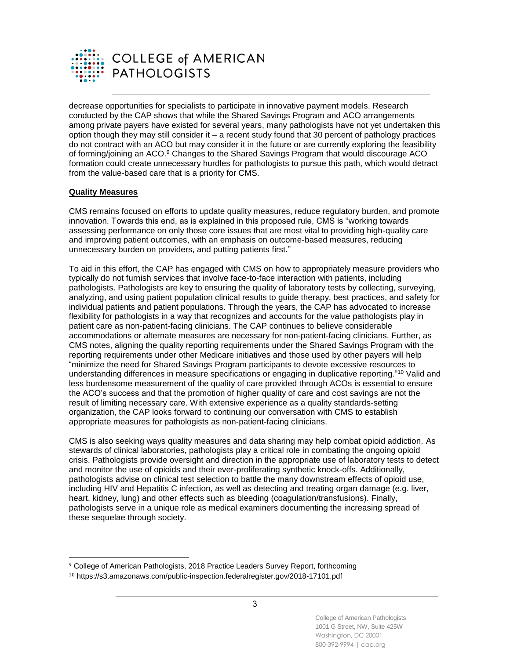

decrease opportunities for specialists to participate in innovative payment models. Research conducted by the CAP shows that while the Shared Savings Program and ACO arrangements among private payers have existed for several years, many pathologists have not yet undertaken this option though they may still consider it – a recent study found that 30 percent of pathology practices do not contract with an ACO but may consider it in the future or are currently exploring the feasibility of forming/joining an ACO.<sup>9</sup> Changes to the Shared Savings Program that would discourage ACO formation could create unnecessary hurdles for pathologists to pursue this path, which would detract from the value-based care that is a priority for CMS.

## **Quality Measures**

l

CMS remains focused on efforts to update quality measures, reduce regulatory burden, and promote innovation. Towards this end, as is explained in this proposed rule, CMS is "working towards assessing performance on only those core issues that are most vital to providing high-quality care and improving patient outcomes, with an emphasis on outcome-based measures, reducing unnecessary burden on providers, and putting patients first."

To aid in this effort, the CAP has engaged with CMS on how to appropriately measure providers who typically do not furnish services that involve face-to-face interaction with patients, including pathologists. Pathologists are key to ensuring the quality of laboratory tests by collecting, surveying, analyzing, and using patient population clinical results to guide therapy, best practices, and safety for individual patients and patient populations. Through the years, the CAP has advocated to increase flexibility for pathologists in a way that recognizes and accounts for the value pathologists play in patient care as non-patient-facing clinicians. The CAP continues to believe considerable accommodations or alternate measures are necessary for non-patient-facing clinicians. Further, as CMS notes, aligning the quality reporting requirements under the Shared Savings Program with the reporting requirements under other Medicare initiatives and those used by other payers will help "minimize the need for Shared Savings Program participants to devote excessive resources to understanding differences in measure specifications or engaging in duplicative reporting."<sup>10</sup> Valid and less burdensome measurement of the quality of care provided through ACOs is essential to ensure the ACO's success and that the promotion of higher quality of care and cost savings are not the result of limiting necessary care. With extensive experience as a quality standards-setting organization, the CAP looks forward to continuing our conversation with CMS to establish appropriate measures for pathologists as non-patient-facing clinicians.

CMS is also seeking ways quality measures and data sharing may help combat opioid addiction. As stewards of clinical laboratories, pathologists play a critical role in combating the ongoing opioid crisis. Pathologists provide oversight and direction in the appropriate use of laboratory tests to detect and monitor the use of opioids and their ever-proliferating synthetic knock-offs. Additionally, pathologists advise on clinical test selection to battle the many downstream effects of opioid use, including HIV and Hepatitis C infection, as well as detecting and treating organ damage (e.g. liver, heart, kidney, lung) and other effects such as bleeding (coagulation/transfusions). Finally, pathologists serve in a unique role as medical examiners documenting the increasing spread of these sequelae through society.

<sup>9</sup> College of American Pathologists, 2018 Practice Leaders Survey Report, forthcoming

<sup>10</sup> https://s3.amazonaws.com/public-inspection.federalregister.gov/2018-17101.pdf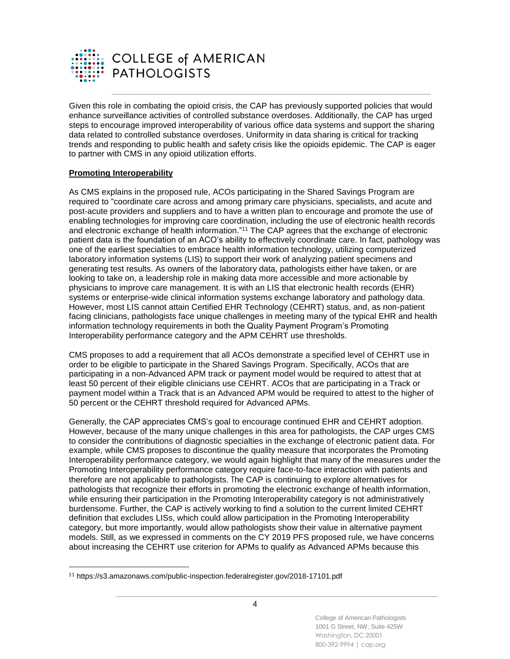

Given this role in combating the opioid crisis, the CAP has previously supported policies that would enhance surveillance activities of controlled substance overdoses. Additionally, the CAP has urged steps to encourage improved interoperability of various office data systems and support the sharing data related to controlled substance overdoses. Uniformity in data sharing is critical for tracking trends and responding to public health and safety crisis like the opioids epidemic. The CAP is eager to partner with CMS in any opioid utilization efforts.

## **Promoting Interoperability**

 $\overline{a}$ 

As CMS explains in the proposed rule, ACOs participating in the Shared Savings Program are required to "coordinate care across and among primary care physicians, specialists, and acute and post-acute providers and suppliers and to have a written plan to encourage and promote the use of enabling technologies for improving care coordination, including the use of electronic health records and electronic exchange of health information." <sup>11</sup> The CAP agrees that the exchange of electronic patient data is the foundation of an ACO's ability to effectively coordinate care. In fact, pathology was one of the earliest specialties to embrace health information technology, utilizing computerized laboratory information systems (LIS) to support their work of analyzing patient specimens and generating test results. As owners of the laboratory data, pathologists either have taken, or are looking to take on, a leadership role in making data more accessible and more actionable by physicians to improve care management. It is with an LIS that electronic health records (EHR) systems or enterprise-wide clinical information systems exchange laboratory and pathology data. However, most LIS cannot attain Certified EHR Technology (CEHRT) status, and, as non-patient facing clinicians, pathologists face unique challenges in meeting many of the typical EHR and health information technology requirements in both the Quality Payment Program's Promoting Interoperability performance category and the APM CEHRT use thresholds.

CMS proposes to add a requirement that all ACOs demonstrate a specified level of CEHRT use in order to be eligible to participate in the Shared Savings Program. Specifically, ACOs that are participating in a non-Advanced APM track or payment model would be required to attest that at least 50 percent of their eligible clinicians use CEHRT. ACOs that are participating in a Track or payment model within a Track that is an Advanced APM would be required to attest to the higher of 50 percent or the CEHRT threshold required for Advanced APMs.

Generally, the CAP appreciates CMS's goal to encourage continued EHR and CEHRT adoption. However, because of the many unique challenges in this area for pathologists, the CAP urges CMS to consider the contributions of diagnostic specialties in the exchange of electronic patient data. For example, while CMS proposes to discontinue the quality measure that incorporates the Promoting Interoperability performance category, we would again highlight that many of the measures under the Promoting Interoperability performance category require face-to-face interaction with patients and therefore are not applicable to pathologists. The CAP is continuing to explore alternatives for pathologists that recognize their efforts in promoting the electronic exchange of health information, while ensuring their participation in the Promoting Interoperability category is not administratively burdensome. Further, the CAP is actively working to find a solution to the current limited CEHRT definition that excludes LISs, which could allow participation in the Promoting Interoperability category, but more importantly, would allow pathologists show their value in alternative payment models. Still, as we expressed in comments on the CY 2019 PFS proposed rule, we have concerns about increasing the CEHRT use criterion for APMs to qualify as Advanced APMs because this

<sup>11</sup> https://s3.amazonaws.com/public-inspection.federalregister.gov/2018-17101.pdf